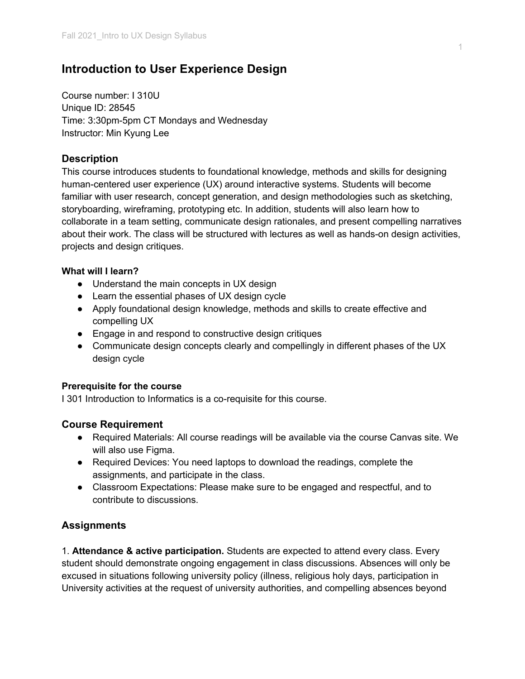# **Introduction to User Experience Design**

Course number: I 310U Unique ID: 28545 Time: 3:30pm-5pm CT Mondays and Wednesday Instructor: Min Kyung Lee

# **Description**

This course introduces students to foundational knowledge, methods and skills for designing human-centered user experience (UX) around interactive systems. Students will become familiar with user research, concept generation, and design methodologies such as sketching, storyboarding, wireframing, prototyping etc. In addition, students will also learn how to collaborate in a team setting, communicate design rationales, and present compelling narratives about their work. The class will be structured with lectures as well as hands-on design activities, projects and design critiques.

## **What will I learn?**

- Understand the main concepts in UX design
- Learn the essential phases of UX design cycle
- Apply foundational design knowledge, methods and skills to create effective and compelling UX
- Engage in and respond to constructive design critiques
- Communicate design concepts clearly and compellingly in different phases of the UX design cycle

## **Prerequisite for the course**

I 301 Introduction to Informatics is a co-requisite for this course.

## **Course Requirement**

- Required Materials: All course readings will be available via the course Canvas site. We will also use Figma.
- Required Devices: You need laptops to download the readings, complete the assignments, and participate in the class.
- Classroom Expectations: Please make sure to be engaged and respectful, and to contribute to discussions.

## **Assignments**

1. **Attendance & active participation.** Students are expected to attend every class. Every student should demonstrate ongoing engagement in class discussions. Absences will only be excused in situations following university policy (illness, religious holy days, participation in University activities at the request of university authorities, and compelling absences beyond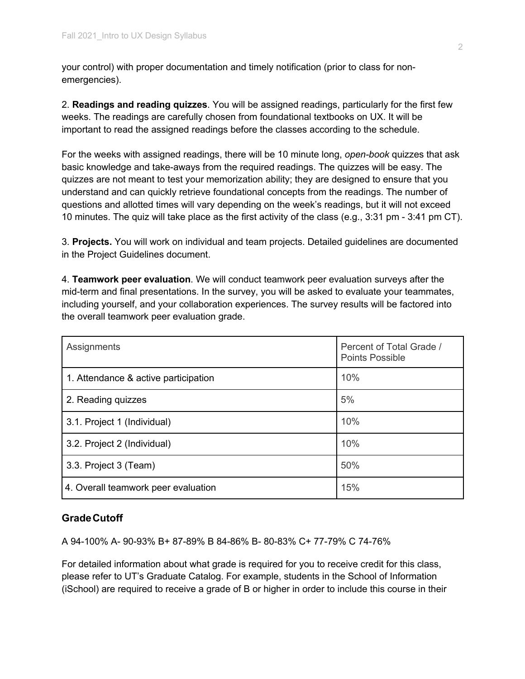your control) with proper documentation and timely notification (prior to class for nonemergencies).

2. **Readings and reading quizzes**. You will be assigned readings, particularly for the first few weeks. The readings are carefully chosen from foundational textbooks on UX. It will be important to read the assigned readings before the classes according to the schedule.

For the weeks with assigned readings, there will be 10 minute long, *open-book* quizzes that ask basic knowledge and take-aways from the required readings. The quizzes will be easy. The quizzes are not meant to test your memorization ability; they are designed to ensure that you understand and can quickly retrieve foundational concepts from the readings. The number of questions and allotted times will vary depending on the week's readings, but it will not exceed 10 minutes. The quiz will take place as the first activity of the class (e.g., 3:31 pm - 3:41 pm CT).

3. **Projects.** You will work on individual and team projects. Detailed guidelines are documented in the Project Guidelines document.

4. **Teamwork peer evaluation**. We will conduct teamwork peer evaluation surveys after the mid-term and final presentations. In the survey, you will be asked to evaluate your teammates, including yourself, and your collaboration experiences. The survey results will be factored into the overall teamwork peer evaluation grade.

| Assignments                          | Percent of Total Grade /<br><b>Points Possible</b> |
|--------------------------------------|----------------------------------------------------|
| 1. Attendance & active participation | 10%                                                |
| 2. Reading quizzes                   | 5%                                                 |
| 3.1. Project 1 (Individual)          | 10%                                                |
| 3.2. Project 2 (Individual)          | 10%                                                |
| 3.3. Project 3 (Team)                | 50%                                                |
| 4. Overall teamwork peer evaluation  | 15%                                                |

## **GradeCutoff**

A 94-100% A- 90-93% B+ 87-89% B 84-86% B- 80-83% C+ 77-79% C 74-76%

For detailed information about what grade is required for you to receive credit for this class, please refer to UT's Graduate Catalog. For example, students in the School of Information (iSchool) are required to receive a grade of B or higher in order to include this course in their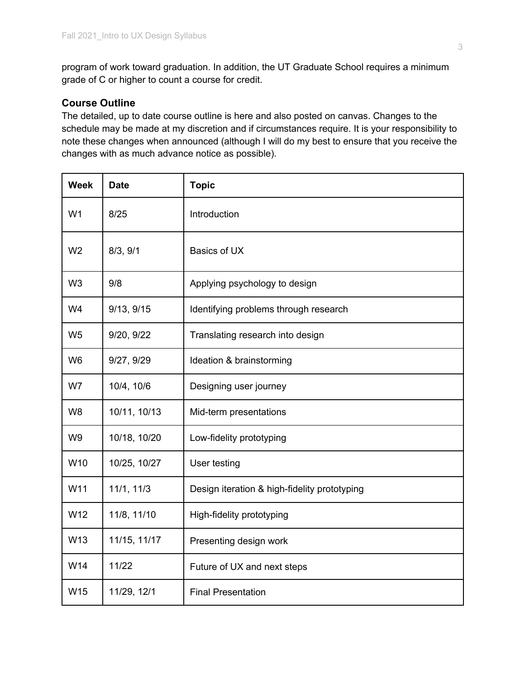program of work toward graduation. In addition, the UT Graduate School requires a minimum grade of C or higher to count a course for credit.

# **Course Outline**

The detailed, up to date course outline is here and also posted on canvas. Changes to the schedule may be made at my discretion and if circumstances require. It is your responsibility to note these changes when announced (although I will do my best to ensure that you receive the changes with as much advance notice as possible).

| <b>Week</b>    | <b>Date</b>  | <b>Topic</b>                                 |
|----------------|--------------|----------------------------------------------|
| W <sub>1</sub> | 8/25         | Introduction                                 |
| W <sub>2</sub> | 8/3, 9/1     | Basics of UX                                 |
| W <sub>3</sub> | 9/8          | Applying psychology to design                |
| W <sub>4</sub> | 9/13, 9/15   | Identifying problems through research        |
| W <sub>5</sub> | 9/20, 9/22   | Translating research into design             |
| W <sub>6</sub> | 9/27, 9/29   | Ideation & brainstorming                     |
| W7             | 10/4, 10/6   | Designing user journey                       |
| W <sub>8</sub> | 10/11, 10/13 | Mid-term presentations                       |
| W <sub>9</sub> | 10/18, 10/20 | Low-fidelity prototyping                     |
| W10            | 10/25, 10/27 | User testing                                 |
| W11            | 11/1, 11/3   | Design iteration & high-fidelity prototyping |
| W12            | 11/8, 11/10  | High-fidelity prototyping                    |
| W13            | 11/15, 11/17 | Presenting design work                       |
| W14            | 11/22        | Future of UX and next steps                  |
| W15            | 11/29, 12/1  | <b>Final Presentation</b>                    |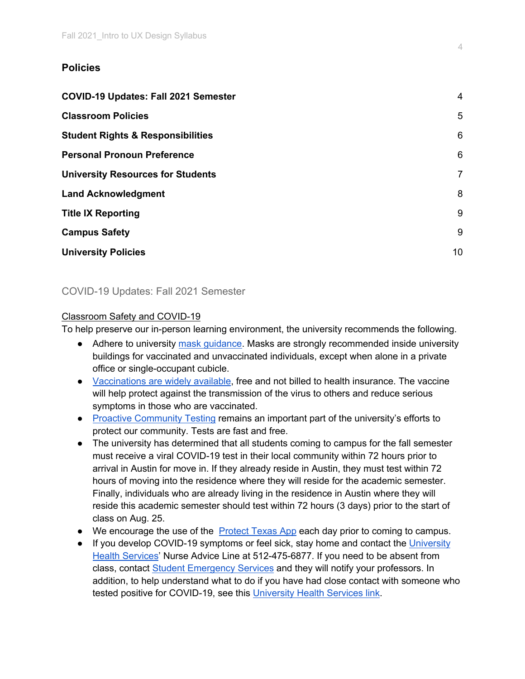# **Policies**

| <b>COVID-19 Updates: Fall 2021 Semester</b>  | $\overline{4}$  |
|----------------------------------------------|-----------------|
| <b>Classroom Policies</b>                    | 5               |
| <b>Student Rights &amp; Responsibilities</b> | 6               |
| <b>Personal Pronoun Preference</b>           | 6               |
| <b>University Resources for Students</b>     | $\overline{7}$  |
| <b>Land Acknowledgment</b>                   | 8               |
| <b>Title IX Reporting</b>                    | 9               |
| <b>Campus Safety</b>                         | 9               |
| <b>University Policies</b>                   | 10 <sup>1</sup> |

# COVID-19 Updates: Fall 2021 Semester

## Classroom Safety and COVID-19

To help preserve our in-person learning environment, the university recommends the following.

- Adhere to university mask guidance. Masks are strongly recommended inside university buildings for vaccinated and unvaccinated individuals, except when alone in a private office or single-occupant cubicle.
- Vaccinations are widely available, free and not billed to health insurance. The vaccine will help protect against the transmission of the virus to others and reduce serious symptoms in those who are vaccinated.
- Proactive Community Testing remains an important part of the university's efforts to protect our community. Tests are fast and free.
- The university has determined that all students coming to campus for the fall semester must receive a viral COVID-19 test in their local community within 72 hours prior to arrival in Austin for move in. If they already reside in Austin, they must test within 72 hours of moving into the residence where they will reside for the academic semester. Finally, individuals who are already living in the residence in Austin where they will reside this academic semester should test within 72 hours (3 days) prior to the start of class on Aug. 25.
- We encourage the use of the Protect Texas App each day prior to coming to campus.
- If you develop COVID-19 symptoms or feel sick, stay home and contact the University Health Services' Nurse Advice Line at 512-475-6877. If you need to be absent from class, contact Student Emergency Services and they will notify your professors. In addition, to help understand what to do if you have had close contact with someone who tested positive for COVID-19, see this University Health Services link.

4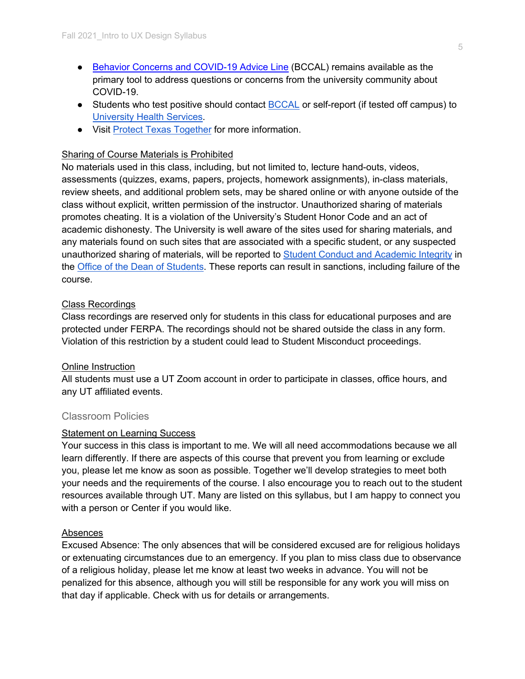- Behavior Concerns and COVID-19 Advice Line (BCCAL) remains available as the primary tool to address questions or concerns from the university community about COVID-19.
- Students who test positive should contact BCCAL or self-report (if tested off campus) to University Health Services.
- Visit Protect Texas Together for more information.

# Sharing of Course Materials is Prohibited

No materials used in this class, including, but not limited to, lecture hand-outs, videos, assessments (quizzes, exams, papers, projects, homework assignments), in-class materials, review sheets, and additional problem sets, may be shared online or with anyone outside of the class without explicit, written permission of the instructor. Unauthorized sharing of materials promotes cheating. It is a violation of the University's Student Honor Code and an act of academic dishonesty. The University is well aware of the sites used for sharing materials, and any materials found on such sites that are associated with a specific student, or any suspected unauthorized sharing of materials, will be reported to Student Conduct and Academic Integrity in the Office of the Dean of Students. These reports can result in sanctions, including failure of the course.

# Class Recordings

Class recordings are reserved only for students in this class for educational purposes and are protected under FERPA. The recordings should not be shared outside the class in any form. Violation of this restriction by a student could lead to Student Misconduct proceedings.

## Online Instruction

All students must use a UT Zoom account in order to participate in classes, office hours, and any UT affiliated events.

# Classroom Policies

## **Statement on Learning Success**

Your success in this class is important to me. We will all need accommodations because we all learn differently. If there are aspects of this course that prevent you from learning or exclude you, please let me know as soon as possible. Together we'll develop strategies to meet both your needs and the requirements of the course. I also encourage you to reach out to the student resources available through UT. Many are listed on this syllabus, but I am happy to connect you with a person or Center if you would like.

## Absences

Excused Absence: The only absences that will be considered excused are for religious holidays or extenuating circumstances due to an emergency. If you plan to miss class due to observance of a religious holiday, please let me know at least two weeks in advance. You will not be penalized for this absence, although you will still be responsible for any work you will miss on that day if applicable. Check with us for details or arrangements.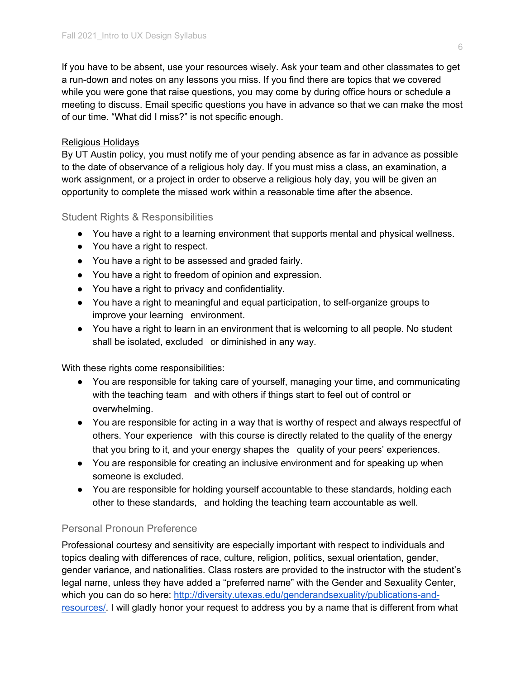If you have to be absent, use your resources wisely. Ask your team and other classmates to get a run-down and notes on any lessons you miss. If you find there are topics that we covered while you were gone that raise questions, you may come by during office hours or schedule a meeting to discuss. Email specific questions you have in advance so that we can make the most of our time. "What did I miss?" is not specific enough.

# Religious Holidays

By UT Austin policy, you must notify me of your pending absence as far in advance as possible to the date of observance of a religious holy day. If you must miss a class, an examination, a work assignment, or a project in order to observe a religious holy day, you will be given an opportunity to complete the missed work within a reasonable time after the absence.

# Student Rights & Responsibilities

- You have a right to a learning environment that supports mental and physical wellness.
- You have a right to respect.
- You have a right to be assessed and graded fairly.
- You have a right to freedom of opinion and expression.
- You have a right to privacy and confidentiality.
- You have a right to meaningful and equal participation, to self-organize groups to improve your learning environment.
- You have a right to learn in an environment that is welcoming to all people. No student shall be isolated, excluded or diminished in any way.

With these rights come responsibilities:

- You are responsible for taking care of yourself, managing your time, and communicating with the teaching team and with others if things start to feel out of control or overwhelming.
- You are responsible for acting in a way that is worthy of respect and always respectful of others. Your experience with this course is directly related to the quality of the energy that you bring to it, and your energy shapes the quality of your peers' experiences.
- You are responsible for creating an inclusive environment and for speaking up when someone is excluded.
- You are responsible for holding yourself accountable to these standards, holding each other to these standards, and holding the teaching team accountable as well.

# Personal Pronoun Preference

Professional courtesy and sensitivity are especially important with respect to individuals and topics dealing with differences of race, culture, religion, politics, sexual orientation, gender, gender variance, and nationalities. Class rosters are provided to the instructor with the student's legal name, unless they have added a "preferred name" with the Gender and Sexuality Center, which you can do so here: http://diversity.utexas.edu/genderandsexuality/publications-andresources/. I will gladly honor your request to address you by a name that is different from what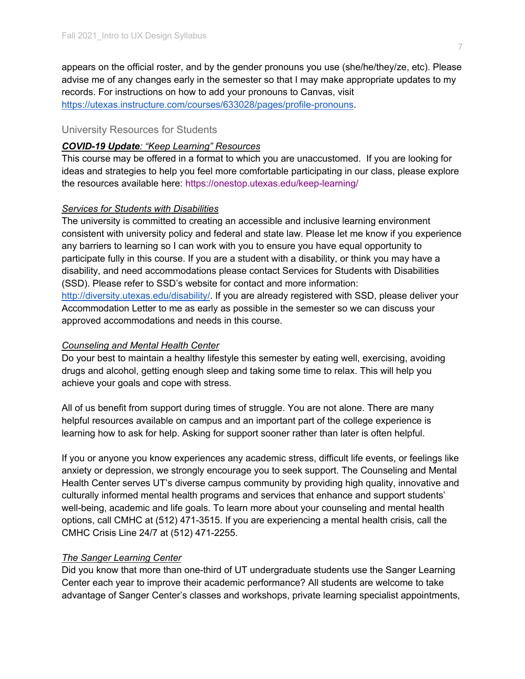appears on the official roster, and by the gender pronouns you use (she/he/they/ze, etc). Please advise me of any changes early in the semester so that I may make appropriate updates to my records. For instructions on how to add your pronouns to Canvas, visit https://utexas.instructure.com/courses/633028/pages/profile-pronouns.

#### University Resources for Students

#### *COVID-19 Update: "Keep Learning" Resources*

This course may be offered in a format to which you are unaccustomed. If you are looking for ideas and strategies to help you feel more comfortable participating in our class, please explore the resources available here: https://onestop.utexas.edu/keep-learning/

#### *Services for Students with Disabilities*

The university is committed to creating an accessible and inclusive learning environment consistent with university policy and federal and state law. Please let me know if you experience any barriers to learning so I can work with you to ensure you have equal opportunity to participate fully in this course. If you are a student with a disability, or think you may have a disability, and need accommodations please contact Services for Students with Disabilities (SSD). Please refer to SSD's website for contact and more information: http://diversity.utexas.edu/disability/. If you are already registered with SSD, please deliver your Accommodation Letter to me as early as possible in the semester so we can discuss your approved accommodations and needs in this course.

#### *Counseling and Mental Health Center*

Do your best to maintain a healthy lifestyle this semester by eating well, exercising, avoiding drugs and alcohol, getting enough sleep and taking some time to relax. This will help you achieve your goals and cope with stress.

All of us benefit from support during times of struggle. You are not alone. There are many helpful resources available on campus and an important part of the college experience is learning how to ask for help. Asking for support sooner rather than later is often helpful.

If you or anyone you know experiences any academic stress, difficult life events, or feelings like anxiety or depression, we strongly encourage you to seek support. The Counseling and Mental Health Center serves UT's diverse campus community by providing high quality, innovative and culturally informed mental health programs and services that enhance and support students' well-being, academic and life goals. To learn more about your counseling and mental health options, call CMHC at (512) 471-3515. If you are experiencing a mental health crisis, call the CMHC Crisis Line 24/7 at (512) 471-2255.

#### *The Sanger Learning Center*

Did you know that more than one-third of UT undergraduate students use the Sanger Learning Center each year to improve their academic performance? All students are welcome to take advantage of Sanger Center's classes and workshops, private learning specialist appointments,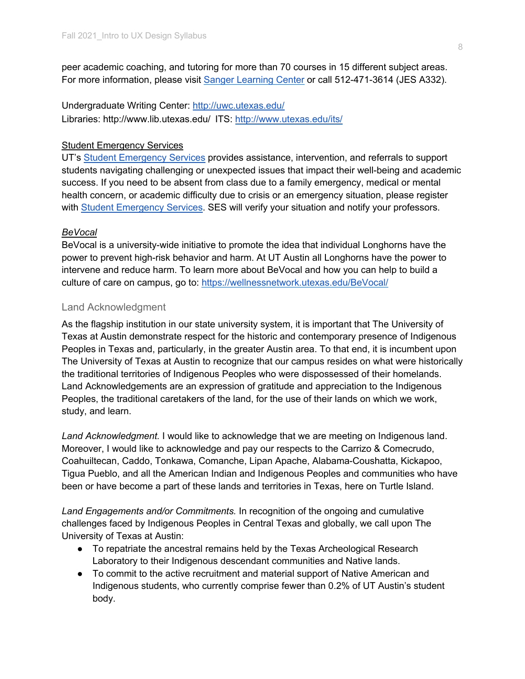peer academic coaching, and tutoring for more than 70 courses in 15 different subject areas. For more information, please visit Sanger Learning Center or call 512-471-3614 (JES A332).

Undergraduate Writing Center: http://uwc.utexas.edu/ Libraries: http://www.lib.utexas.edu/ ITS: http://www.utexas.edu/its/

# **Student Emergency Services**

UT's Student Emergency Services provides assistance, intervention, and referrals to support students navigating challenging or unexpected issues that impact their well-being and academic success. If you need to be absent from class due to a family emergency, medical or mental health concern, or academic difficulty due to crisis or an emergency situation, please register with Student Emergency Services. SES will verify your situation and notify your professors.

# *BeVocal*

BeVocal is a university-wide initiative to promote the idea that individual Longhorns have the power to prevent high-risk behavior and harm. At UT Austin all Longhorns have the power to intervene and reduce harm. To learn more about BeVocal and how you can help to build a culture of care on campus, go to: https://wellnessnetwork.utexas.edu/BeVocal/

# Land Acknowledgment

As the flagship institution in our state university system, it is important that The University of Texas at Austin demonstrate respect for the historic and contemporary presence of Indigenous Peoples in Texas and, particularly, in the greater Austin area. To that end, it is incumbent upon The University of Texas at Austin to recognize that our campus resides on what were historically the traditional territories of Indigenous Peoples who were dispossessed of their homelands. Land Acknowledgements are an expression of gratitude and appreciation to the Indigenous Peoples, the traditional caretakers of the land, for the use of their lands on which we work, study, and learn.

*Land Acknowledgment.* I would like to acknowledge that we are meeting on Indigenous land. Moreover, I would like to acknowledge and pay our respects to the Carrizo & Comecrudo, Coahuiltecan, Caddo, Tonkawa, Comanche, Lipan Apache, Alabama-Coushatta, Kickapoo, Tigua Pueblo, and all the American Indian and Indigenous Peoples and communities who have been or have become a part of these lands and territories in Texas, here on Turtle Island.

*Land Engagements and/or Commitments.* In recognition of the ongoing and cumulative challenges faced by Indigenous Peoples in Central Texas and globally, we call upon The University of Texas at Austin:

- To repatriate the ancestral remains held by the Texas Archeological Research Laboratory to their Indigenous descendant communities and Native lands.
- To commit to the active recruitment and material support of Native American and Indigenous students, who currently comprise fewer than 0.2% of UT Austin's student body.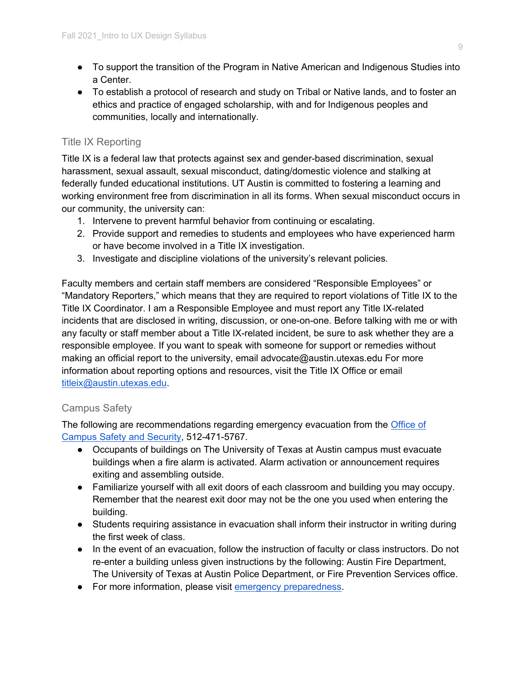- To support the transition of the Program in Native American and Indigenous Studies into a Center.
- To establish a protocol of research and study on Tribal or Native lands, and to foster an ethics and practice of engaged scholarship, with and for Indigenous peoples and communities, locally and internationally.

# Title IX Reporting

Title IX is a federal law that protects against sex and gender-based discrimination, sexual harassment, sexual assault, sexual misconduct, dating/domestic violence and stalking at federally funded educational institutions. UT Austin is committed to fostering a learning and working environment free from discrimination in all its forms. When sexual misconduct occurs in our community, the university can:

- 1. Intervene to prevent harmful behavior from continuing or escalating.
- 2. Provide support and remedies to students and employees who have experienced harm or have become involved in a Title IX investigation.
- 3. Investigate and discipline violations of the university's relevant policies.

Faculty members and certain staff members are considered "Responsible Employees" or "Mandatory Reporters," which means that they are required to report violations of Title IX to the Title IX Coordinator. I am a Responsible Employee and must report any Title IX-related incidents that are disclosed in writing, discussion, or one-on-one. Before talking with me or with any faculty or staff member about a Title IX-related incident, be sure to ask whether they are a responsible employee. If you want to speak with someone for support or remedies without making an official report to the university, email advocate@austin.utexas.edu For more information about reporting options and resources, visit the Title IX Office or email titleix@austin.utexas.edu.

# Campus Safety

The following are recommendations regarding emergency evacuation from the Office of Campus Safety and Security, 512-471-5767.

- Occupants of buildings on The University of Texas at Austin campus must evacuate buildings when a fire alarm is activated. Alarm activation or announcement requires exiting and assembling outside.
- Familiarize yourself with all exit doors of each classroom and building you may occupy. Remember that the nearest exit door may not be the one you used when entering the building.
- Students requiring assistance in evacuation shall inform their instructor in writing during the first week of class.
- In the event of an evacuation, follow the instruction of faculty or class instructors. Do not re-enter a building unless given instructions by the following: Austin Fire Department, The University of Texas at Austin Police Department, or Fire Prevention Services office.
- For more information, please visit emergency preparedness.